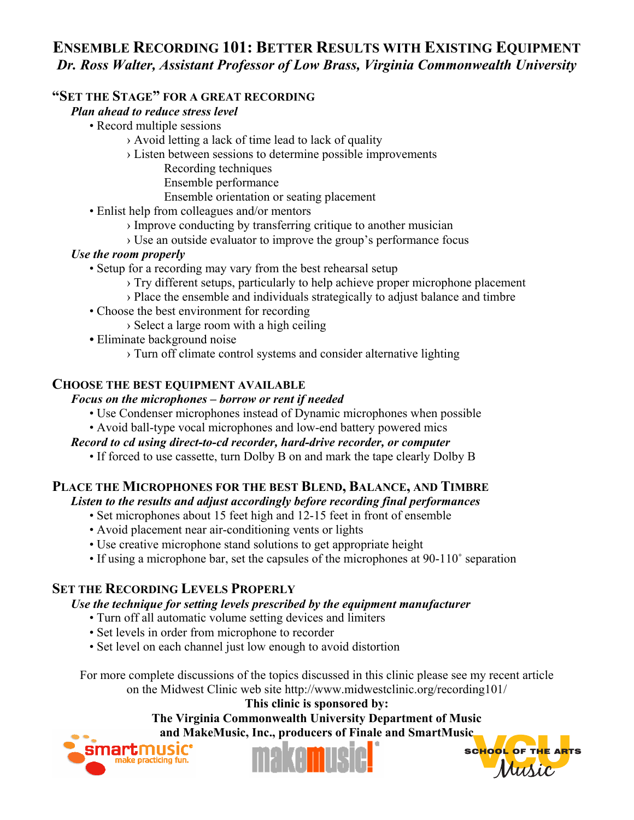# **ENSEMBLE RECORDING 101: BETTER RESULTS WITH EXISTING EQUIPMENT** *Dr. Ross Walter, Assistant Professor of Low Brass, Virginia Commonwealth University*

## **"SET THE STAGE" FOR A GREAT RECORDING**

### *Plan ahead to reduce stress level*

- Record multiple sessions
	- › Avoid letting a lack of time lead to lack of quality
	- › Listen between sessions to determine possible improvements
		- Recording techniques
		- Ensemble performance
		- Ensemble orientation or seating placement
- Enlist help from colleagues and/or mentors
	- › Improve conducting by transferring critique to another musician
	- › Use an outside evaluator to improve the group's performance focus

## *Use the room properly*

- Setup for a recording may vary from the best rehearsal setup
	- › Try different setups, particularly to help achieve proper microphone placement
	- › Place the ensemble and individuals strategically to adjust balance and timbre
- Choose the best environment for recording
	- › Select a large room with a high ceiling
- Eliminate background noise
	- › Turn off climate control systems and consider alternative lighting

### **CHOOSE THE BEST EQUIPMENT AVAILABLE**

### *Focus on the microphones – borrow or rent if needed*

- Use Condenser microphones instead of Dynamic microphones when possible
- Avoid ball-type vocal microphones and low-end battery powered mics

## *Record to cd using direct-to-cd recorder, hard-drive recorder, or computer*

• If forced to use cassette, turn Dolby B on and mark the tape clearly Dolby B

# **PLACE THE MICROPHONES FOR THE BEST BLEND, BALANCE, AND TIMBRE**

*Listen to the results and adjust accordingly before recording final performances* 

- Set microphones about 15 feet high and 12-15 feet in front of ensemble
- Avoid placement near air-conditioning vents or lights
- Use creative microphone stand solutions to get appropriate height
- If using a microphone bar, set the capsules of the microphones at 90-110˚ separation

# **SET THE RECORDING LEVELS PROPERLY**

## *Use the technique for setting levels prescribed by the equipment manufacturer*

- Turn off all automatic volume setting devices and limiters
- Set levels in order from microphone to recorder
- Set level on each channel just low enough to avoid distortion

For more complete discussions of the topics discussed in this clinic please see my recent article on the Midwest Clinic web site http://www.midwestclinic.org/recording101/

**This clinic is sponsored by: The Virginia Commonwealth University Department of Music and MakeMusic, Inc., producers of Finale and SmartMusic**